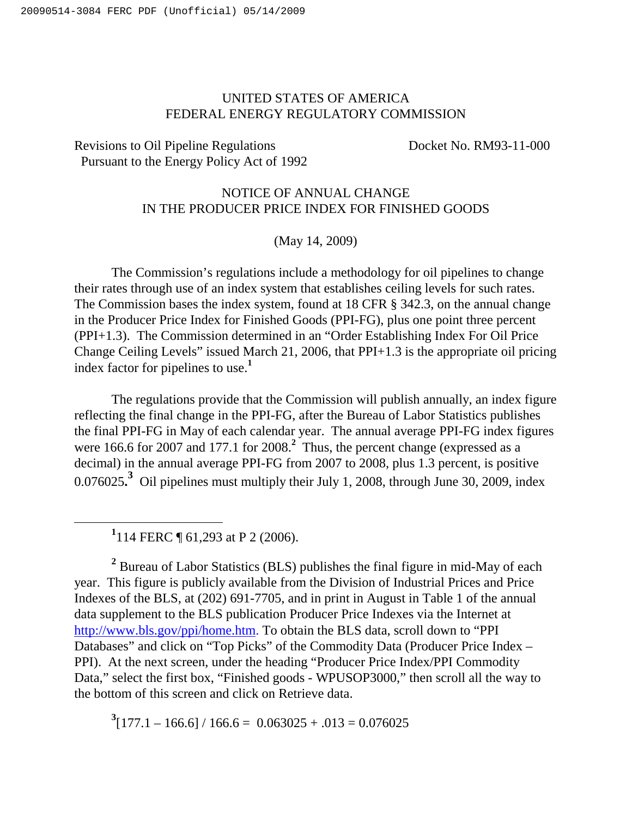## UNITED STATES OF AMERICA FEDERAL ENERGY REGULATORY COMMISSION

Revisions to Oil Pipeline Regulations Docket No. RM93-11-000 Pursuant to the Energy Policy Act of 1992

## NOTICE OF ANNUAL CHANGE IN THE PRODUCER PRICE INDEX FOR FINISHED GOODS

(May 14, 2009)

The Commission's regulations include a methodology for oil pipelines to change their rates through use of an index system that establishes ceiling levels for such rates. The Commission bases the index system, found at 18 CFR § 342.3, on the annual change in the Producer Price Index for Finished Goods (PPI-FG), plus one point three percent (PPI+1.3). The Commission determined in an "Order Establishing Index For Oil Price Change Ceiling Levels" issued March 21, 2006, that PPI+1.3 is the appropriate oil pricing index factor for pipelines to use. **1**

The regulations provide that the Commission will publish annually, an index figure reflecting the final change in the PPI-FG, after the Bureau of Labor Statistics publishes the final PPI-FG in May of each calendar year. The annual average PPI-FG index figures were 166.6 for 2007 and 177.1 for 2008.<sup>2</sup> Thus, the percent change (expressed as a decimal) in the annual average PPI-FG from 2007 to 2008, plus 1.3 percent, is positive 0.076025**. <sup>3</sup>** Oil pipelines must multiply their July 1, 2008, through June 30, 2009, index

**1** 114 FERC ¶ 61,293 at P 2 (2006).

**<sup>2</sup>** Bureau of Labor Statistics (BLS) publishes the final figure in mid-May of each year. This figure is publicly available from the Division of Industrial Prices and Price Indexes of the BLS, at (202) 691-7705, and in print in August in Table 1 of the annual data supplement to the BLS publication Producer Price Indexes via the Internet at http://www.bls.gov/ppi/home.htm. To obtain the BLS data, scroll down to "PPI Databases" and click on "Top Picks" of the Commodity Data (Producer Price Index – PPI). At the next screen, under the heading "Producer Price Index/PPI Commodity Data," select the first box, "Finished goods - WPUSOP3000," then scroll all the way to the bottom of this screen and click on Retrieve data.

 $3[177.1 - 166.6] / 166.6 = 0.063025 + .013 = 0.076025$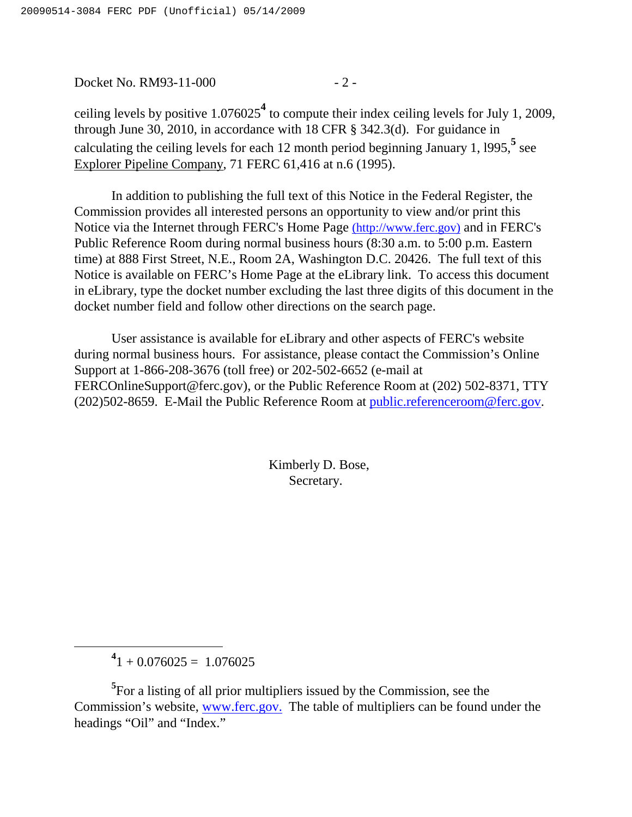Docket No. RM93-11-000 - 2 -

ceiling levels by positive 1.076025 **<sup>4</sup>** to compute their index ceiling levels for July 1, 2009, through June 30, 2010, in accordance with 18 CFR § 342.3(d). For guidance in calculating the ceiling levels for each 12 month period beginning January 1, l995, **5** see Explorer Pipeline Company, 71 FERC 61,416 at n.6 (1995).

In addition to publishing the full text of this Notice in the Federal Register, the Commission provides all interested persons an opportunity to view and/or print this Notice via the Internet through FERC's Home Page (http://www.ferc.gov) and in FERC's Public Reference Room during normal business hours (8:30 a.m. to 5:00 p.m. Eastern time) at 888 First Street, N.E., Room 2A, Washington D.C. 20426. The full text of this Notice is available on FERC's Home Page at the eLibrary link. To access this document in eLibrary, type the docket number excluding the last three digits of this document in the docket number field and follow other directions on the search page.

User assistance is available for eLibrary and other aspects of FERC's website during normal business hours. For assistance, please contact the Commission's Online Support at 1-866-208-3676 (toll free) or 202-502-6652 (e-mail at FERCOnlineSupport@ferc.gov), or the Public Reference Room at (202) 502-8371, TTY (202)502-8659. E-Mail the Public Reference Room at public.referenceroom@ferc.gov.

> Kimberly D. Bose, Secretary.

 $^{4}$ 1 + 0.076025 = 1.076025

**<sup>5</sup>** For a listing of all prior multipliers issued by the Commission, see the Commission's website, www.ferc.gov. The table of multipliers can be found under the headings "Oil" and "Index."